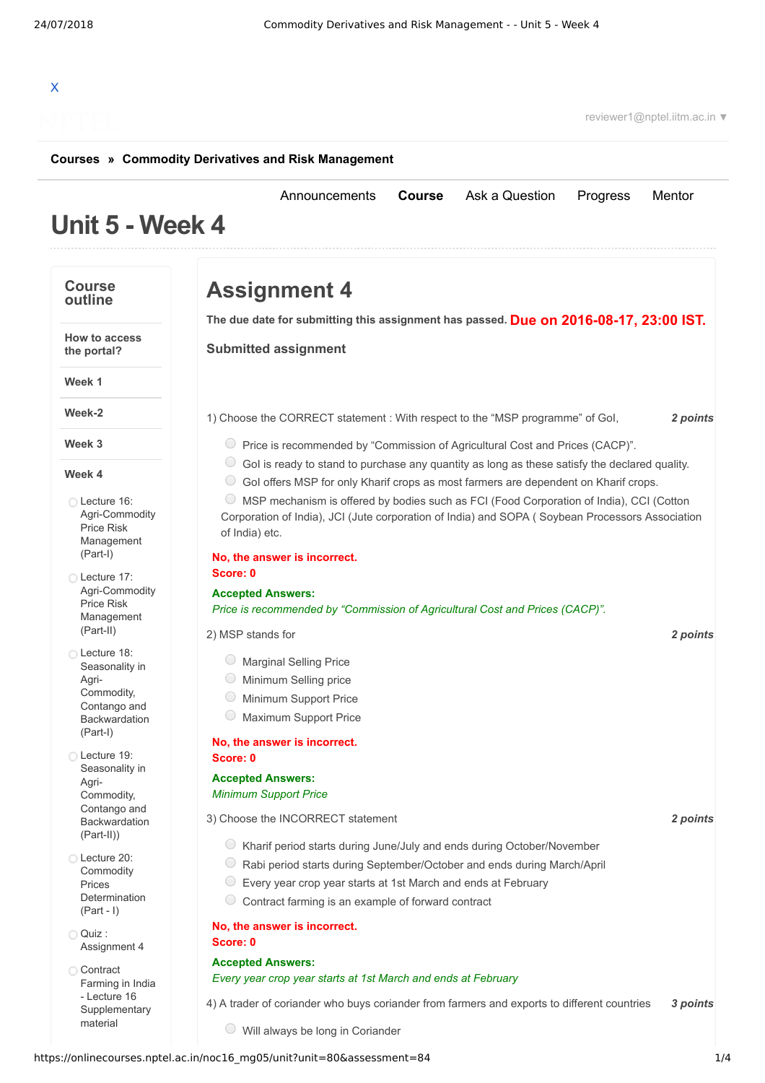# X

reviewer1@nptel.iitm.ac.in ▼

#### **[Courses](https://onlinecourses.nptel.ac.in/) » [Commodity Derivatives and Risk Management](https://onlinecourses.nptel.ac.in/noc16_mg05/course)**

# **Unit 5 - Week 4**

#### **Course outline**

**Week 1**

**Week-2**

**Week 3**

**Week 4**

Lecture 16: [Agri-Commodity](https://onlinecourses.nptel.ac.in/noc16_mg05/unit?unit=80&lesson=81) Price Risk Management (Part-I) Lecture 17: [Agri-Commodity](https://onlinecourses.nptel.ac.in/noc16_mg05/unit?unit=80&lesson=82) Price Risk Management (Part-II) Lecture 18: Seasonality in

Agri-Commodity, Contango and [Backwardation](https://onlinecourses.nptel.ac.in/noc16_mg05/unit?unit=80&lesson=83) (Part-I) Lecture 19: Seasonality in

Agri-Commodity, Contango and [Backwardation](https://onlinecourses.nptel.ac.in/noc16_mg05/unit?unit=80&lesson=85) (Part-II)) Lecture 20: **Commodity** Prices [Determination](https://onlinecourses.nptel.ac.in/noc16_mg05/unit?unit=80&lesson=86) (Part - I)

Quiz :

**Contract** Farming in India - Lecture 16 **[Supplementary](https://onlinecourses.nptel.ac.in/noc16_mg05/link?unit=88)** material

[Assignment](https://onlinecourses.nptel.ac.in/noc16_mg05/assessment?name=84) 4

**How to access the portal?**

**Assignment 4**

**Due on 2016-08-17, 23:00 IST. The due date for submitting this assignment has passed.**

[Announcements](https://onlinecourses.nptel.ac.in/noc16_mg05/announcements) **[Course](https://onlinecourses.nptel.ac.in/noc16_mg05/course)** [Ask a Question](https://onlinecourses.nptel.ac.in/noc16_mg05/forum) [Progress](https://onlinecourses.nptel.ac.in/noc16_mg05/student/home) [Mentor](https://onlinecourses.nptel.ac.in/noc16_mg05/student/mentor)

**Submitted assignment**

1) *2 points* Choose the CORRECT statement : With respect to the "MSP programme" of GoI,

- Price is recommended by "Commission of Agricultural Cost and Prices (CACP)".
- $\circ$  GoI is ready to stand to purchase any quantity as long as these satisfy the declared quality.
- GoI offers MSP for only Kharif crops as most farmers are dependent on Kharif crops.

MSP mechanism is offered by bodies such as FCI (Food Corporation of India), CCI (Cotton Corporation of India), JCI (Jute corporation of India) and SOPA ( Soybean Processors Association of India) etc.

#### **No, the answer is incorrect.**

**Score: 0**

**Accepted Answers:** *Price is recommended by "Commission of Agricultural Cost and Prices (CACP)".*

2) *2 points* MSP stands for

- Marginal Selling Price
- Minimum Selling price
- Minimum Support Price
- Maximum Support Price

#### **No, the answer is incorrect. Score: 0**

# **Accepted Answers:**

*Minimum Support Price*

3) *2 points* Choose the INCORRECT statement

- Kharif period starts during June/July and ends during October/November
- Rabi period starts during September/October and ends during March/April
- $\circledcirc$  Every year crop year starts at 1st March and ends at February
- $\circ$  Contract farming is an example of forward contract

#### **No, the answer is incorrect.**

#### **Accepted Answers:**

#### *Every year crop year starts at 1st March and ends at February*

4) *3 points* A trader of coriander who buys coriander from farmers and exports to different countries

Will always be long in Coriander

https://onlinecourses.nptel.ac.in/noc16\_mg05/unit?unit=80&assessment=84 1/4

**Score: 0**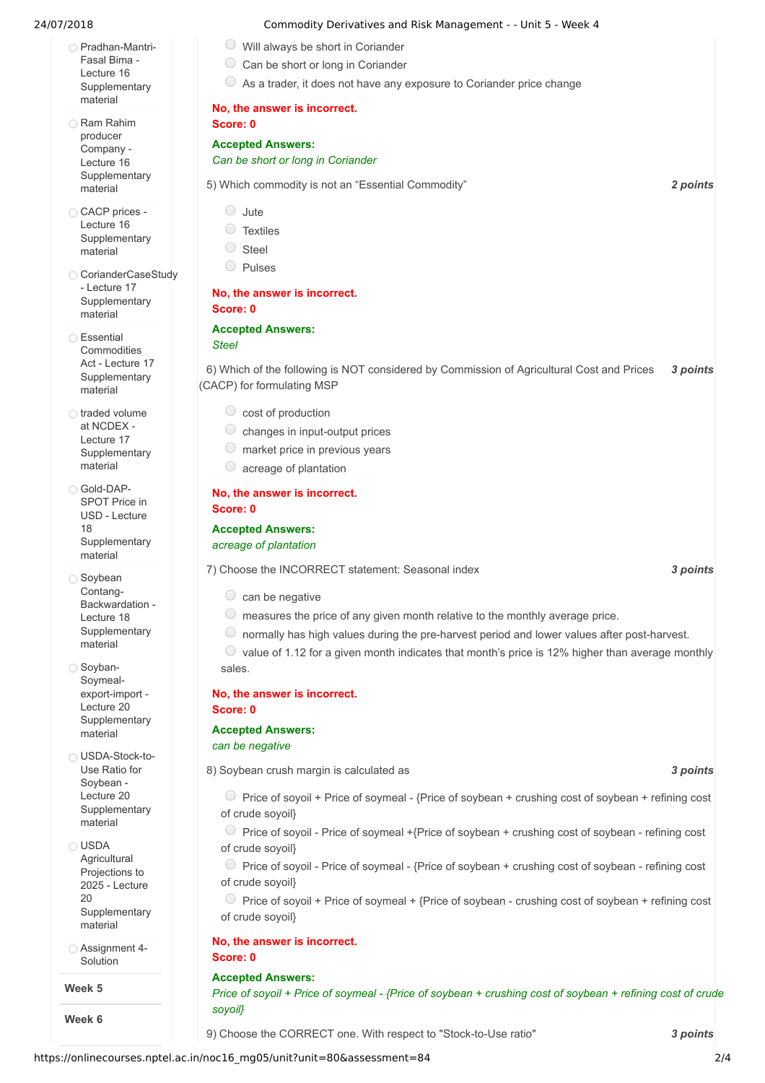- [Pradhan-Mantri-](https://onlinecourses.nptel.ac.in/noc16_mg05/link?unit=89)Fasal Bima - Lecture 16 **Supplementary** material
- Ram Rahim producer Company - Lecture 16 **[Supplementary](https://onlinecourses.nptel.ac.in/noc16_mg05/link?unit=90)** material
- CACP prices -Lecture 16 **[Supplementary](https://onlinecourses.nptel.ac.in/noc16_mg05/link?unit=91)** material
- [CorianderCaseStudy](https://onlinecourses.nptel.ac.in/noc16_mg05/link?unit=92) - Lecture 17 **Supplementary** material
- ∩ Essential **Commodities** Act - Lecture 17 **[Supplementary](https://onlinecourses.nptel.ac.in/noc16_mg05/link?unit=93)** material
- o traded volume at NCDEX - Lecture 17 **[Supplementary](https://onlinecourses.nptel.ac.in/noc16_mg05/link?unit=94)** material
- Gold-DAP-SPOT Price in USD - Lecture 18 **[Supplementary](https://onlinecourses.nptel.ac.in/noc16_mg05/link?unit=95)** material
- Soybean Contang-Backwardation - Lecture 18 **[Supplementary](https://onlinecourses.nptel.ac.in/noc16_mg05/link?unit=96)** material
- Soyban-Soymealexport-import - Lecture 20 **[Supplementary](https://onlinecourses.nptel.ac.in/noc16_mg05/link?unit=97)** material
- [USDA-Stock-to-](https://onlinecourses.nptel.ac.in/noc16_mg05/link?unit=98)Use Ratio for Soybean - Lecture 20 **Supplementary** material
- USDA **Agricultural** Projections to 2025 - Lecture 20 **[Supplementary](https://onlinecourses.nptel.ac.in/noc16_mg05/link?unit=99)** material
- [Assignment](https://onlinecourses.nptel.ac.in/noc16_mg05/link?unit=127) 4- Solution

#### **Week 5**

**Week 6**

#### 24/07/2018 Commodity Derivatives and Risk Management - - Unit 5 - Week 4

- $\circ$  Will always be short in Coriander C Can be short or long in Coriander
- 
- $\circ$  As a trader, it does not have any exposure to Coriander price change

## **No, the answer is incorrect.**

### **Score: 0**

#### **Accepted Answers:** *Can be short or long in Coriander*

5) *2 points* Which commodity is not an "Essential Commodity"

- $\bigcirc$  Jute
- Textiles
- Steel
- Pulses

#### **No, the answer is incorrect. Score: 0**

#### **Accepted Answers:**

#### *Steel*

6) *3 points* Which of the following is NOT considered by Commission of Agricultural Cost and Prices (CACP) for formulating MSP

- $\circ$  cost of production
- $\circlearrowright$  changes in input-output prices
- $\circ$  market price in previous years
- $\circ$  acreage of plantation

#### **No, the answer is incorrect. Score: 0**

#### **Accepted Answers:**

#### *acreage of plantation*

7) *3 points* Choose the INCORRECT statement: Seasonal index

- $\circ$  can be negative
- $\circ$  measures the price of any given month relative to the monthly average price.
- $\circ$  normally has high values during the pre-harvest period and lower values after post-harvest.

 $\bullet$  value of 1.12 for a given month indicates that month's price is 12% higher than average monthly sales.

## **No, the answer is incorrect.**

### **Score: 0**

#### **Accepted Answers:**

*can be negative*

8) *3 points* Soybean crush margin is calculated as

- $\circ$  Price of soyoil + Price of soymeal {Price of soybean + crushing cost of soybean + refining cost of crude soyoil}
- $\circ$  Price of soyoil Price of soymeal +{Price of soybean + crushing cost of soybean refining cost of crude soyoil}
- Price of soyoil Price of soymeal {Price of soybean + crushing cost of soybean refining cost of crude soyoil}
- $\circ$  Price of soyoil + Price of soymeal + {Price of soybean crushing cost of soybean + refining cost of crude soyoil}

#### **No, the answer is incorrect.**

#### **Score: 0**

#### **Accepted Answers:** Price of soyoil + Price of soymeal - {Price of soybean + crushing cost of soybean + refining cost of crude *soyoil}*

9) *3 points* Choose the CORRECT one. With respect to "Stock-to-Use ratio"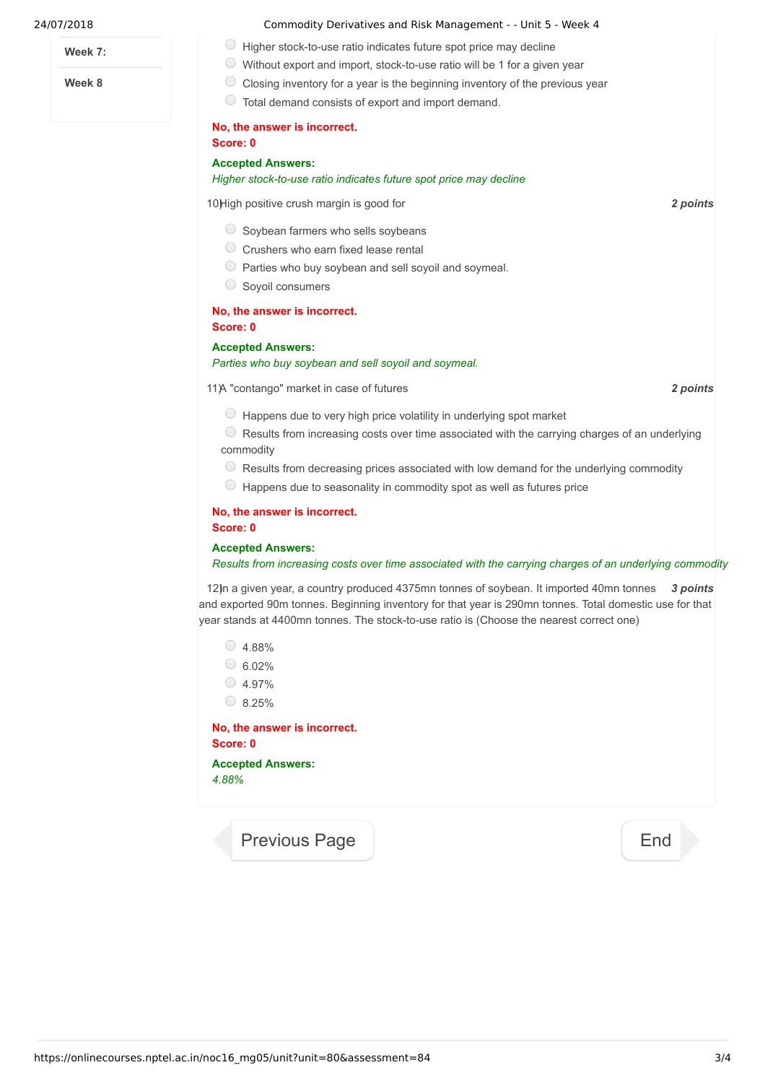**Week 7:**

**Week 8**

- 24/07/2018 Commodity Derivatives and Risk Management - Unit 5 Week 4
	- $\bigcirc$  Higher stock-to-use ratio indicates future spot price may decline
	- Without export and import, stock-to-use ratio will be 1 for a given year
	- $\bigcirc$  Closing inventory for a year is the beginning inventory of the previous year
		- Total demand consists of export and import demand.

#### **No, the answer is incorrect.**

#### **Score: 0 Accepted Answers:** *Higher stock-to-use ratio indicates future spot price may decline*

10) *2 points* High positive crush margin is good for

- $\circ$  Soybean farmers who sells soybeans
- $\circ$  Crushers who earn fixed lease rental
- $\circ$  Parties who buy soybean and sell soyoil and soymeal.
- Soyoil consumers

#### **No, the answer is incorrect. Score: 0**

#### **Accepted Answers:**

#### *Parties who buy soybean and sell soyoil and soymeal.*

11) *2 points* A "contango" market in case of futures

- $\circ$  Happens due to very high price volatility in underlying spot market
- $\bullet$  Results from increasing costs over time associated with the carrying charges of an underlying commodity
- Results from decreasing prices associated with low demand for the underlying commodity
- $\circ$  Happens due to seasonality in commodity spot as well as futures price

#### **No, the answer is incorrect. Score: 0**

#### **Accepted Answers:**

#### *Results from increasing costs over time associated with the carrying charges of an underlying commodity*

12) n a given year, a country produced 4375mn tonnes of soybean. It imported 40mn tonnes 3 points and exported 90m tonnes. Beginning inventory for that year is 290mn tonnes. Total domestic use for that year stands at 4400mn tonnes. The stock-to-use ratio is (Choose the nearest correct one)

 $\circ$  4.88%  $6.02%$  $\circ$  4.97%  $\circ$  8.25%

**No, the answer is incorrect. Score: 0 Accepted Answers:**

*4.88%*

[Previous Page](https://onlinecourses.nptel.ac.in/noc16_mg05/unit?unit=80&lesson=86) **[End](https://onlinecourses.nptel.ac.in/noc16_mg05/course)**